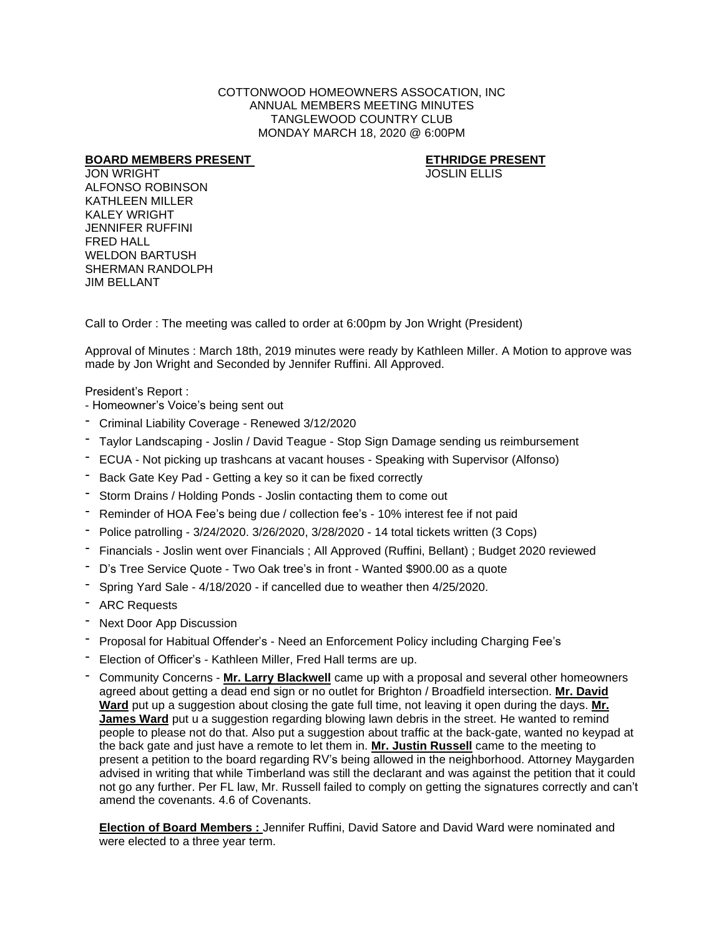## COTTONWOOD HOMEOWNERS ASSOCATION, INC ANNUAL MEMBERS MEETING MINUTES TANGLEWOOD COUNTRY CLUB MONDAY MARCH 18, 2020 @ 6:00PM

## **BOARD MEMBERS PRESENT ETHRIDGE PRESENT**

JON WRIGHT JOSLIN ELLIS ALFONSO ROBINSON KATHLEEN MILLER KALEY WRIGHT JENNIFER RUFFINI FRED HALL WELDON BARTUSH SHERMAN RANDOLPH JIM BELLANT

Call to Order : The meeting was called to order at 6:00pm by Jon Wright (President)

Approval of Minutes : March 18th, 2019 minutes were ready by Kathleen Miller. A Motion to approve was made by Jon Wright and Seconded by Jennifer Ruffini. All Approved.

President's Report :

- Homeowner's Voice's being sent out
- Criminal Liability Coverage Renewed 3/12/2020
- Taylor Landscaping Joslin / David Teague Stop Sign Damage sending us reimbursement
- ECUA Not picking up trashcans at vacant houses Speaking with Supervisor (Alfonso)
- Back Gate Key Pad Getting a key so it can be fixed correctly
- Storm Drains / Holding Ponds Joslin contacting them to come out
- Reminder of HOA Fee's being due / collection fee's 10% interest fee if not paid
- Police patrolling 3/24/2020. 3/26/2020, 3/28/2020 14 total tickets written (3 Cops)
- Financials Joslin went over Financials ; All Approved (Ruffini, Bellant) ; Budget 2020 reviewed
- D's Tree Service Quote Two Oak tree's in front Wanted \$900.00 as a quote
- Spring Yard Sale 4/18/2020 if cancelled due to weather then 4/25/2020.
- ARC Requests
- Next Door App Discussion
- Proposal for Habitual Offender's Need an Enforcement Policy including Charging Fee's
- Election of Officer's Kathleen Miller, Fred Hall terms are up.
- Community Concerns **Mr. Larry Blackwell** came up with a proposal and several other homeowners agreed about getting a dead end sign or no outlet for Brighton / Broadfield intersection. **Mr. David Ward** put up a suggestion about closing the gate full time, not leaving it open during the days. **Mr. James Ward** put u a suggestion regarding blowing lawn debris in the street. He wanted to remind people to please not do that. Also put a suggestion about traffic at the back-gate, wanted no keypad at the back gate and just have a remote to let them in. **Mr. Justin Russell** came to the meeting to present a petition to the board regarding RV's being allowed in the neighborhood. Attorney Maygarden advised in writing that while Timberland was still the declarant and was against the petition that it could not go any further. Per FL law, Mr. Russell failed to comply on getting the signatures correctly and can't amend the covenants. 4.6 of Covenants.

**Election of Board Members :** Jennifer Ruffini, David Satore and David Ward were nominated and were elected to a three year term.